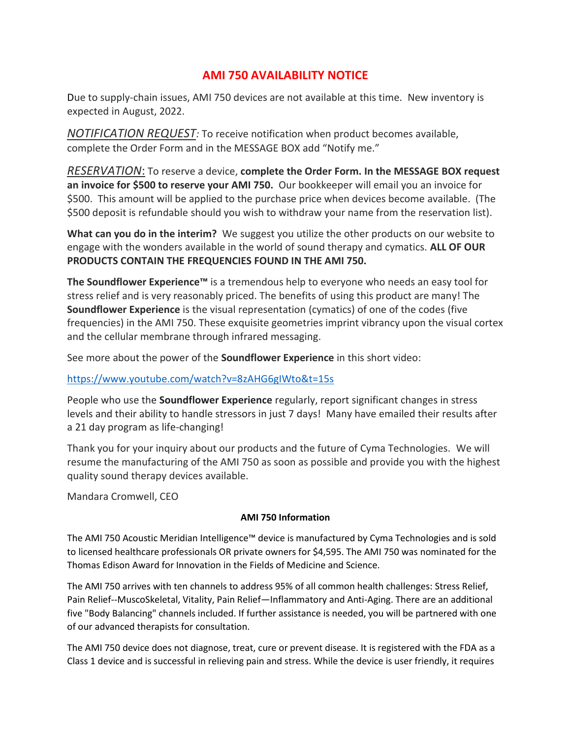# **AMI 750 AVAILABILITY NOTICE**

Due to supply-chain issues, AMI 750 devices are not available at this time. New inventory is expected in August, 2022.

*NOTIFICATION REQUEST:* To receive notification when product becomes available, complete the Order Form and in the MESSAGE BOX add "Notify me."

*RESERVATION*: To reserve a device, **complete the Order Form. In the MESSAGE BOX request an invoice for \$500 to reserve your AMI 750.** Our bookkeeper will email you an invoice for \$500. This amount will be applied to the purchase price when devices become available. (The \$500 deposit is refundable should you wish to withdraw your name from the reservation list).

**What can you do in the interim?** We suggest you utilize the other products on our website to engage with the wonders available in the world of sound therapy and cymatics. **ALL OF OUR PRODUCTS CONTAIN THE FREQUENCIES FOUND IN THE AMI 750.**

**The Soundflower Experience™** is a tremendous help to everyone who needs an easy tool for stress relief and is very reasonably priced. The benefits of using this product are many! The **Soundflower Experience** is the visual representation (cymatics) of one of the codes (five frequencies) in the AMI 750. These exquisite geometries imprint vibrancy upon the visual cortex and the cellular membrane through infrared messaging.

See more about the power of the **Soundflower Experience** in this short video:

# <https://www.youtube.com/watch?v=8zAHG6gIWto&t=15s>

People who use the **Soundflower Experience** regularly, report significant changes in stress levels and their ability to handle stressors in just 7 days! Many have emailed their results after a 21 day program as life-changing!

Thank you for your inquiry about our products and the future of Cyma Technologies. We will resume the manufacturing of the AMI 750 as soon as possible and provide you with the highest quality sound therapy devices available.

Mandara Cromwell, CEO

### **AMI 750 Information**

The AMI 750 Acoustic Meridian Intelligence™ device is manufactured by Cyma Technologies and is sold to licensed healthcare professionals OR private owners for \$4,595. The AMI 750 was nominated for the Thomas Edison Award for Innovation in the Fields of Medicine and Science.

The AMI 750 arrives with ten channels to address 95% of all common health challenges: Stress Relief, Pain Relief--MuscoSkeletal, Vitality, Pain Relief—Inflammatory and Anti-Aging. There are an additional five "Body Balancing" channels included. If further assistance is needed, you will be partnered with one of our advanced therapists for consultation.

The AMI 750 device does not diagnose, treat, cure or prevent disease. It is registered with the FDA as a Class 1 device and is successful in relieving pain and stress. While the device is user friendly, it requires